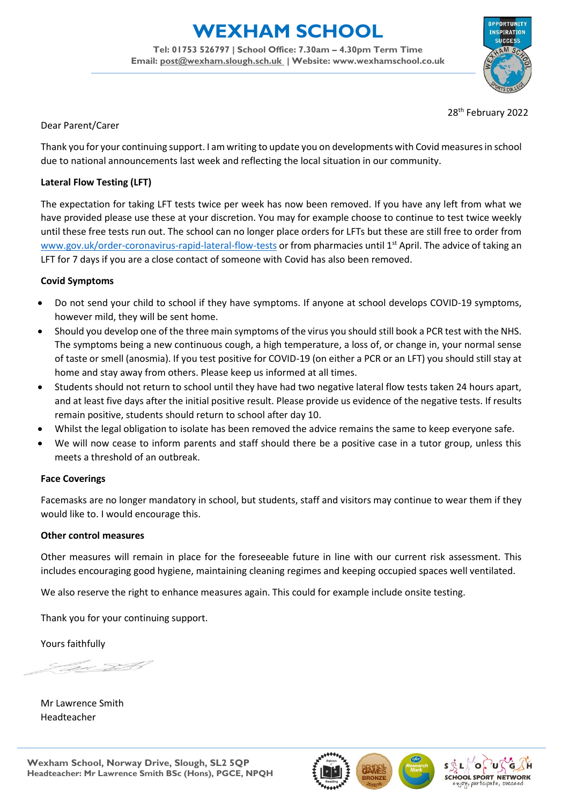# **EXHAM SCHOOL**

**Tel: 01753 526797 | School Office: 7.30am – 4.30pm Term Time Email: [post@wexham.slough.sch.uk](mailto:post@wexham.slough.sch.uk) | Website: www.wexhamschool.co.uk**



28<sup>th</sup> February 2022

#### Dear Parent/Carer

Thank you for your continuing support. I am writing to update you on developments with Covid measures in school due to national announcements last week and reflecting the local situation in our community.

## **Lateral Flow Testing (LFT)**

The expectation for taking LFT tests twice per week has now been removed. If you have any left from what we have provided please use these at your discretion. You may for example choose to continue to test twice weekly until these free tests run out. The school can no longer place orders for LFTs but these are still free to order from [www.gov.uk/order-coronavirus-rapid-lateral-flow-tests](http://www.gov.uk/order-coronavirus-rapid-lateral-flow-tests) or from pharmacies until 1<sup>st</sup> April. The advice of taking an LFT for 7 days if you are a close contact of someone with Covid has also been removed.

#### **Covid Symptoms**

- Do not send your child to school if they have symptoms. If anyone at school develops COVID-19 symptoms, however mild, they will be sent home.
- Should you develop one of the three main symptoms of the virus you should still book a PCR test with the NHS. The symptoms being a new continuous cough, a high temperature, a loss of, or change in, your normal sense of taste or smell (anosmia). If you test positive for COVID-19 (on either a PCR or an LFT) you should still stay at home and stay away from others. Please keep us informed at all times.
- Students should not return to school until they have had two negative lateral flow tests taken 24 hours apart, and at least five days after the initial positive result. Please provide us evidence of the negative tests. If results remain positive, students should return to school after day 10.
- Whilst the legal obligation to isolate has been removed the advice remains the same to keep everyone safe.
- We will now cease to inform parents and staff should there be a positive case in a tutor group, unless this meets a threshold of an outbreak.

## **Face Coverings**

Facemasks are no longer mandatory in school, but students, staff and visitors may continue to wear them if they would like to. I would encourage this.

#### **Other control measures**

Other measures will remain in place for the foreseeable future in line with our current risk assessment. This includes encouraging good hygiene, maintaining cleaning regimes and keeping occupied spaces well ventilated.

We also reserve the right to enhance measures again. This could for example include onsite testing.

Thank you for your continuing support.

Yours faithfully

SI A

Mr Lawrence Smith Headteacher